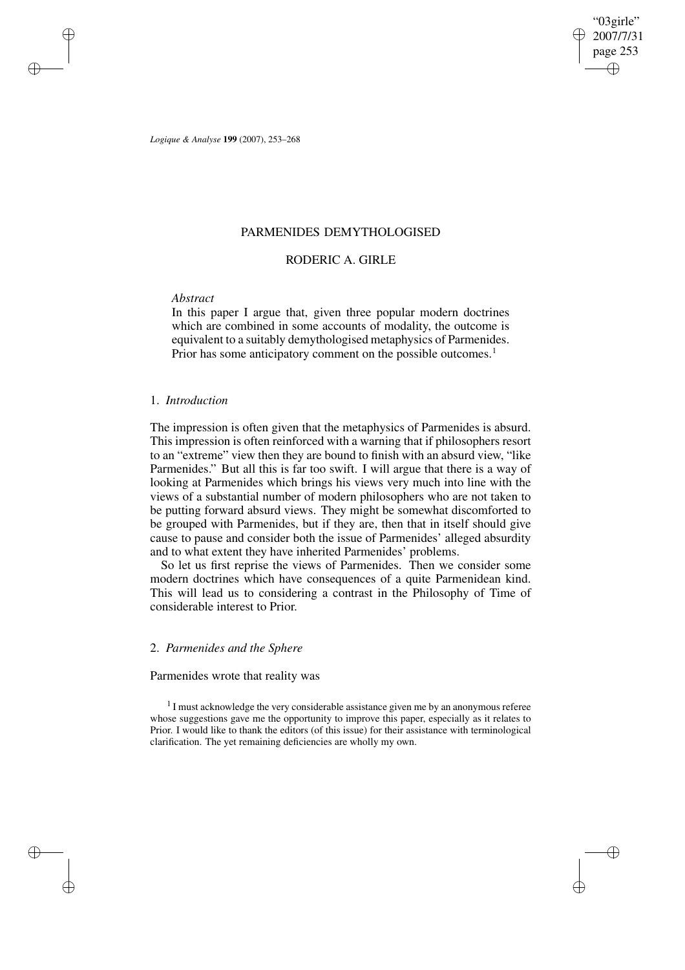"03girle" 2007/7/31 page 253 ✐ ✐

✐

✐

*Logique & Analyse* **199** (2007), 253–268

## PARMENIDES DEMYTHOLOGISED

# RODERIC A. GIRLE

## *Abstract*

✐

✐

✐

✐

In this paper I argue that, given three popular modern doctrines which are combined in some accounts of modality, the outcome is equivalent to a suitably demythologised metaphysics of Parmenides. Prior has some anticipatory comment on the possible outcomes.<sup>1</sup>

### 1. *Introduction*

The impression is often given that the metaphysics of Parmenides is absurd. This impression is often reinforced with a warning that if philosophers resort to an "extreme" view then they are bound to finish with an absurd view, "like Parmenides." But all this is far too swift. I will argue that there is a way of looking at Parmenides which brings his views very much into line with the views of a substantial number of modern philosophers who are not taken to be putting forward absurd views. They might be somewhat discomforted to be grouped with Parmenides, but if they are, then that in itself should give cause to pause and consider both the issue of Parmenides' alleged absurdity and to what extent they have inherited Parmenides' problems.

So let us first reprise the views of Parmenides. Then we consider some modern doctrines which have consequences of a quite Parmenidean kind. This will lead us to considering a contrast in the Philosophy of Time of considerable interest to Prior.

## 2. *Parmenides and the Sphere*

### Parmenides wrote that reality was

<sup>1</sup> I must acknowledge the very considerable assistance given me by an anonymous referee whose suggestions gave me the opportunity to improve this paper, especially as it relates to Prior. I would like to thank the editors (of this issue) for their assistance with terminological clarification. The yet remaining deficiencies are wholly my own.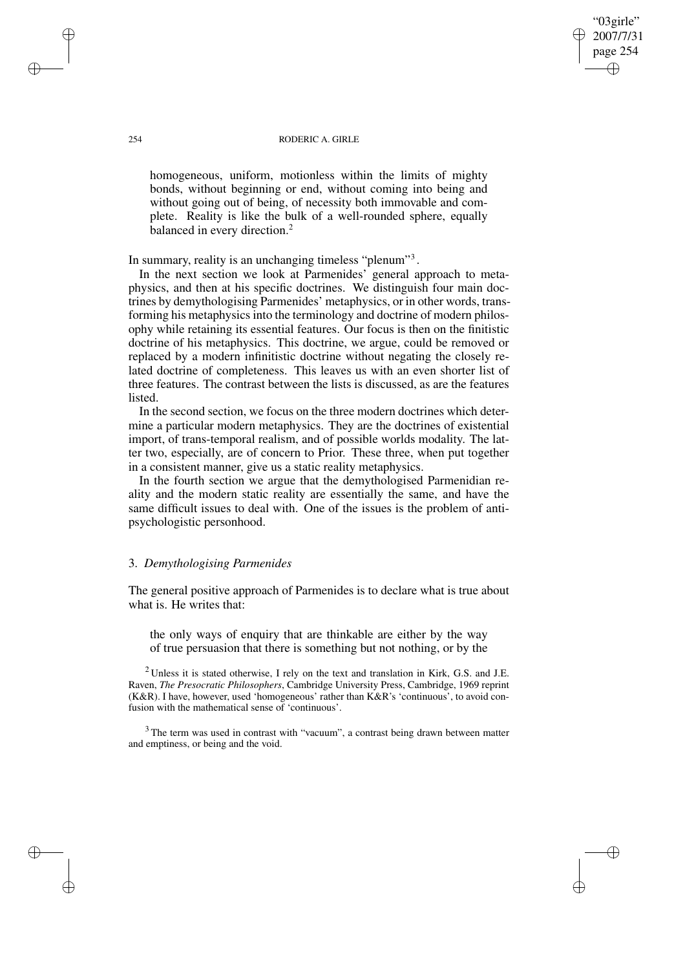#### 254 RODERIC A. GIRLE

"03girle" 2007/7/31 page 254

✐

✐

✐

✐

homogeneous, uniform, motionless within the limits of mighty bonds, without beginning or end, without coming into being and without going out of being, of necessity both immovable and complete. Reality is like the bulk of a well-rounded sphere, equally balanced in every direction.<sup>2</sup>

In summary, reality is an unchanging timeless "plenum"<sup>3</sup>.

In the next section we look at Parmenides' general approach to metaphysics, and then at his specific doctrines. We distinguish four main doctrines by demythologising Parmenides' metaphysics, or in other words, transforming his metaphysics into the terminology and doctrine of modern philosophy while retaining its essential features. Our focus is then on the finitistic doctrine of his metaphysics. This doctrine, we argue, could be removed or replaced by a modern infinitistic doctrine without negating the closely related doctrine of completeness. This leaves us with an even shorter list of three features. The contrast between the lists is discussed, as are the features listed.

In the second section, we focus on the three modern doctrines which determine a particular modern metaphysics. They are the doctrines of existential import, of trans-temporal realism, and of possible worlds modality. The latter two, especially, are of concern to Prior. These three, when put together in a consistent manner, give us a static reality metaphysics.

In the fourth section we argue that the demythologised Parmenidian reality and the modern static reality are essentially the same, and have the same difficult issues to deal with. One of the issues is the problem of antipsychologistic personhood.

## 3. *Demythologising Parmenides*

The general positive approach of Parmenides is to declare what is true about what is. He writes that:

the only ways of enquiry that are thinkable are either by the way of true persuasion that there is something but not nothing, or by the

 $2$ Unless it is stated otherwise, I rely on the text and translation in Kirk, G.S. and J.E. Raven, *The Presocratic Philosophers*, Cambridge University Press, Cambridge, 1969 reprint (K&R). I have, however, used 'homogeneous' rather than K&R's 'continuous', to avoid confusion with the mathematical sense of 'continuous'.

<sup>3</sup> The term was used in contrast with "vacuum", a contrast being drawn between matter and emptiness, or being and the void.

✐

✐

✐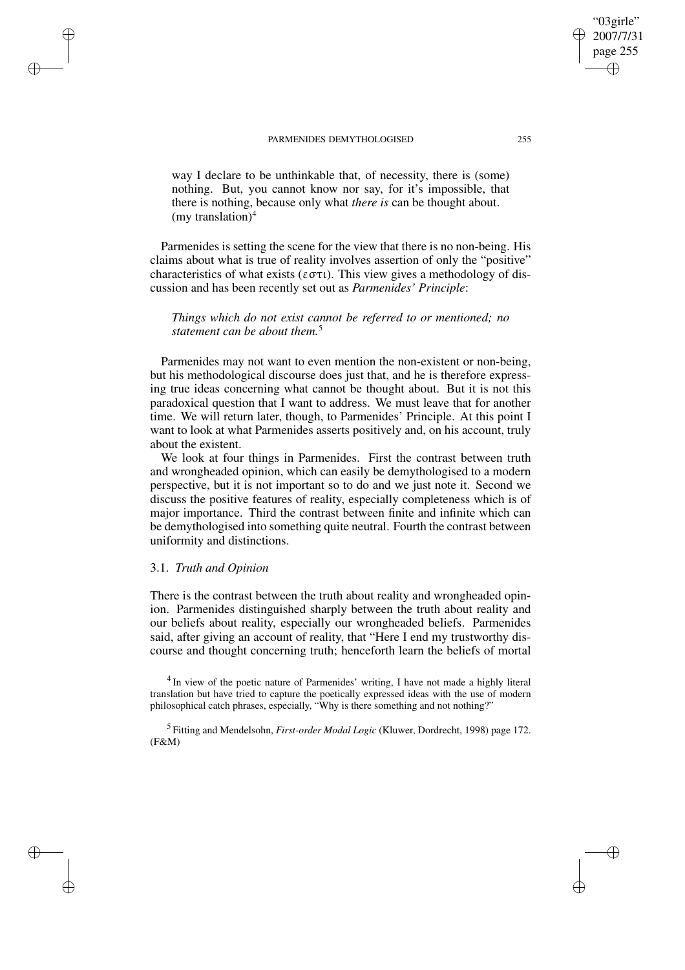way I declare to be unthinkable that, of necessity, there is (some) nothing. But, you cannot know nor say, for it's impossible, that there is nothing, because only what *there is* can be thought about. (my translation) $4$ 

Parmenides is setting the scene for the view that there is no non-being. His claims about what is true of reality involves assertion of only the "positive" characteristics of what exists ( $\epsilon \sigma \tau \iota$ ). This view gives a methodology of discussion and has been recently set out as *Parmenides' Principle*:

*Things which do not exist cannot be referred to or mentioned; no statement can be about them.*<sup>5</sup>

Parmenides may not want to even mention the non-existent or non-being, but his methodological discourse does just that, and he is therefore expressing true ideas concerning what cannot be thought about. But it is not this paradoxical question that I want to address. We must leave that for another time. We will return later, though, to Parmenides' Principle. At this point I want to look at what Parmenides asserts positively and, on his account, truly about the existent.

We look at four things in Parmenides. First the contrast between truth and wrongheaded opinion, which can easily be demythologised to a modern perspective, but it is not important so to do and we just note it. Second we discuss the positive features of reality, especially completeness which is of major importance. Third the contrast between finite and infinite which can be demythologised into something quite neutral. Fourth the contrast between uniformity and distinctions.

### 3.1. *Truth and Opinion*

✐

✐

✐

✐

There is the contrast between the truth about reality and wrongheaded opinion. Parmenides distinguished sharply between the truth about reality and our beliefs about reality, especially our wrongheaded beliefs. Parmenides said, after giving an account of reality, that "Here I end my trustworthy discourse and thought concerning truth; henceforth learn the beliefs of mortal

<sup>4</sup> In view of the poetic nature of Parmenides' writing, I have not made a highly literal translation but have tried to capture the poetically expressed ideas with the use of modern philosophical catch phrases, especially, "Why is there something and not nothing?"

5 Fitting and Mendelsohn, *First-order Modal Logic* (Kluwer, Dordrecht, 1998) page 172. (F&M)

"03girle" 2007/7/31 page 255

✐

✐

✐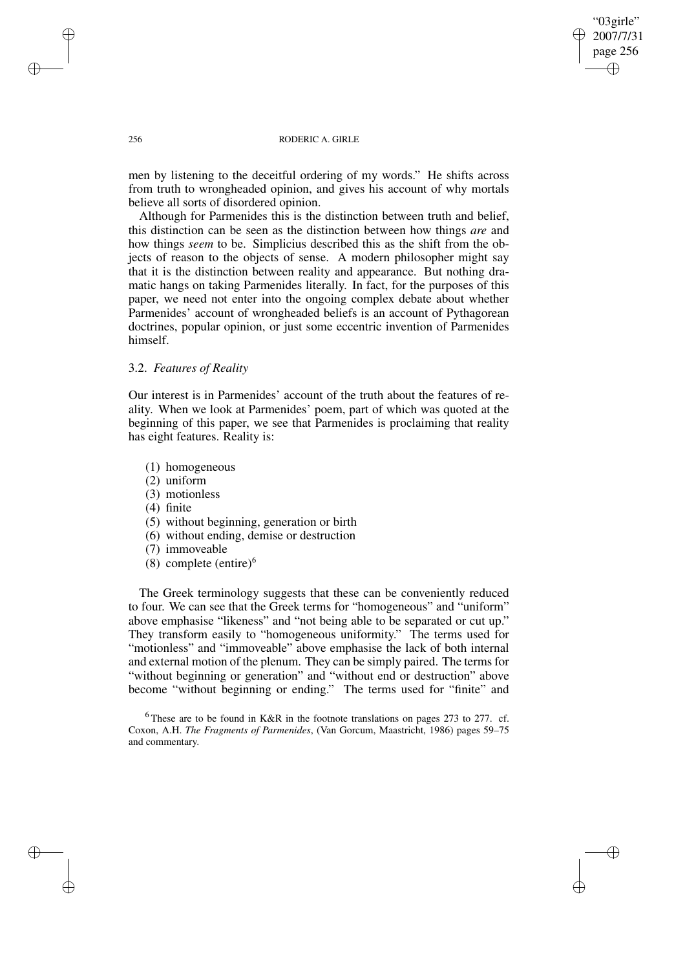"03girle" 2007/7/31 page 256 ✐ ✐

✐

✐

#### 256 RODERIC A. GIRLE

men by listening to the deceitful ordering of my words." He shifts across from truth to wrongheaded opinion, and gives his account of why mortals believe all sorts of disordered opinion.

Although for Parmenides this is the distinction between truth and belief, this distinction can be seen as the distinction between how things *are* and how things *seem* to be. Simplicius described this as the shift from the objects of reason to the objects of sense. A modern philosopher might say that it is the distinction between reality and appearance. But nothing dramatic hangs on taking Parmenides literally. In fact, for the purposes of this paper, we need not enter into the ongoing complex debate about whether Parmenides' account of wrongheaded beliefs is an account of Pythagorean doctrines, popular opinion, or just some eccentric invention of Parmenides himself.

### 3.2. *Features of Reality*

Our interest is in Parmenides' account of the truth about the features of reality. When we look at Parmenides' poem, part of which was quoted at the beginning of this paper, we see that Parmenides is proclaiming that reality has eight features. Reality is:

- (1) homogeneous
- (2) uniform
- (3) motionless
- (4) finite
- (5) without beginning, generation or birth
- (6) without ending, demise or destruction
- (7) immoveable
- (8) complete (entire) $<sup>6</sup>$ </sup>

The Greek terminology suggests that these can be conveniently reduced to four. We can see that the Greek terms for "homogeneous" and "uniform" above emphasise "likeness" and "not being able to be separated or cut up." They transform easily to "homogeneous uniformity." The terms used for "motionless" and "immoveable" above emphasise the lack of both internal and external motion of the plenum. They can be simply paired. The terms for "without beginning or generation" and "without end or destruction" above become "without beginning or ending." The terms used for "finite" and

 $6$ These are to be found in K&R in the footnote translations on pages 273 to 277. cf. Coxon, A.H. *The Fragments of Parmenides*, (Van Gorcum, Maastricht, 1986) pages 59–75 and commentary.

✐

✐

✐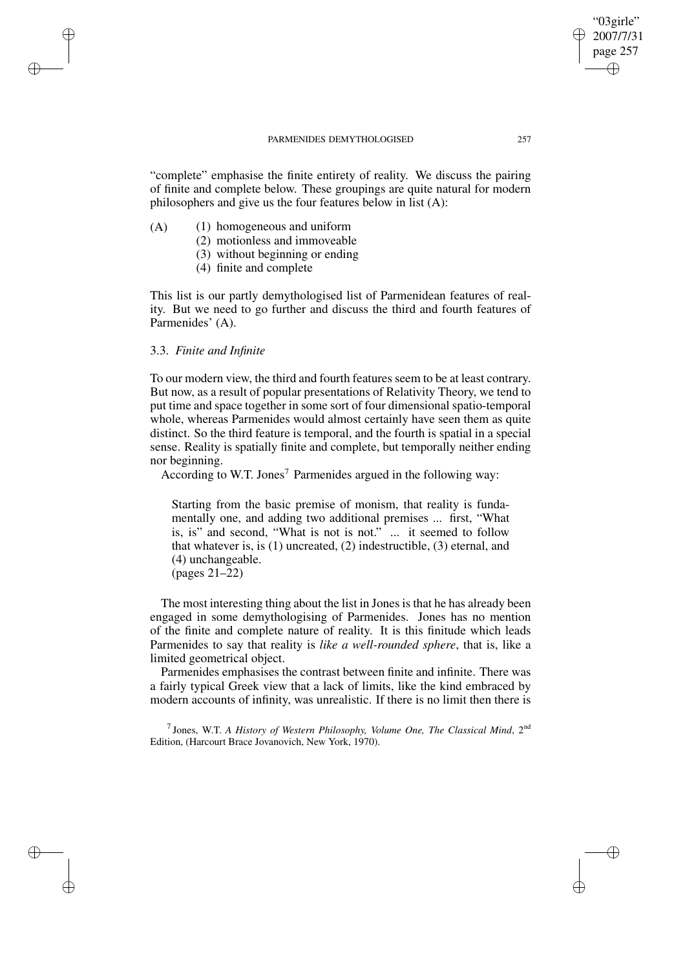"complete" emphasise the finite entirety of reality. We discuss the pairing of finite and complete below. These groupings are quite natural for modern philosophers and give us the four features below in list (A):

- (A) (1) homogeneous and uniform
	- (2) motionless and immoveable
	- (3) without beginning or ending
	- (4) finite and complete

This list is our partly demythologised list of Parmenidean features of reality. But we need to go further and discuss the third and fourth features of Parmenides' (A).

# 3.3. *Finite and Infinite*

✐

✐

✐

✐

To our modern view, the third and fourth features seem to be at least contrary. But now, as a result of popular presentations of Relativity Theory, we tend to put time and space together in some sort of four dimensional spatio-temporal whole, whereas Parmenides would almost certainly have seen them as quite distinct. So the third feature is temporal, and the fourth is spatial in a special sense. Reality is spatially finite and complete, but temporally neither ending nor beginning.

According to W.T. Jones<sup>7</sup> Parmenides argued in the following way:

Starting from the basic premise of monism, that reality is fundamentally one, and adding two additional premises ... first, "What is, is" and second, "What is not is not." ... it seemed to follow that whatever is, is (1) uncreated, (2) indestructible, (3) eternal, and (4) unchangeable. (pages 21–22)

The most interesting thing about the list in Jones is that he has already been engaged in some demythologising of Parmenides. Jones has no mention of the finite and complete nature of reality. It is this finitude which leads Parmenides to say that reality is *like a well-rounded sphere*, that is, like a limited geometrical object.

Parmenides emphasises the contrast between finite and infinite. There was a fairly typical Greek view that a lack of limits, like the kind embraced by modern accounts of infinity, was unrealistic. If there is no limit then there is

7 Jones, W.T. *A History of Western Philosophy, Volume One, The Classical Mind*, 2 nd Edition, (Harcourt Brace Jovanovich, New York, 1970).

"03girle" 2007/7/31 page 257

✐

✐

✐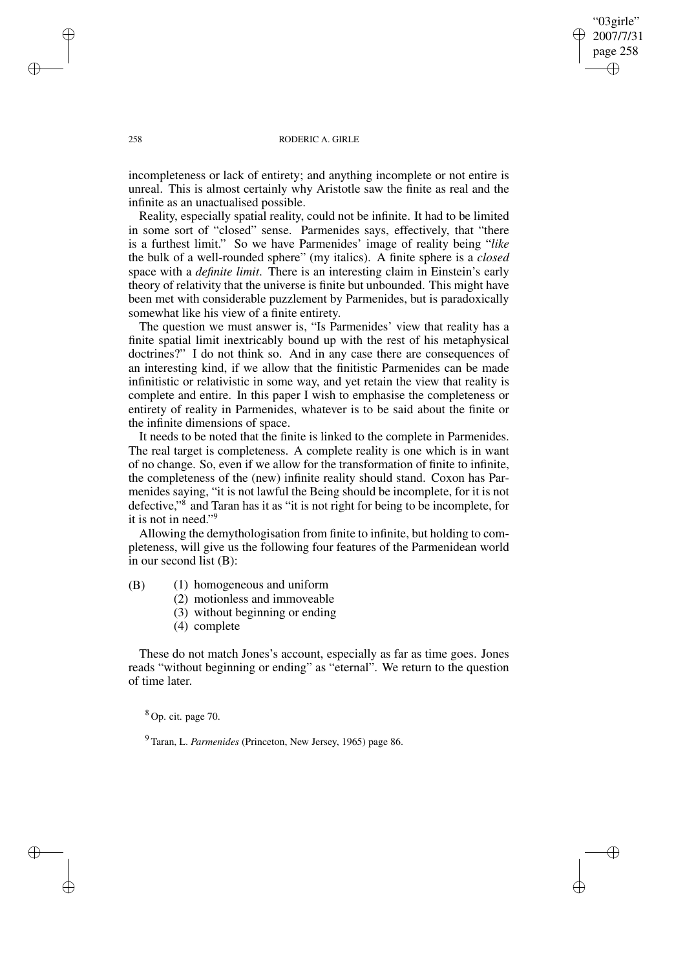"03girle" 2007/7/31 page 258 ✐ ✐

✐

✐

#### 258 RODERIC A. GIRLE

incompleteness or lack of entirety; and anything incomplete or not entire is unreal. This is almost certainly why Aristotle saw the finite as real and the infinite as an unactualised possible.

Reality, especially spatial reality, could not be infinite. It had to be limited in some sort of "closed" sense. Parmenides says, effectively, that "there is a furthest limit." So we have Parmenides' image of reality being "*like* the bulk of a well-rounded sphere" (my italics). A finite sphere is a *closed* space with a *definite limit*. There is an interesting claim in Einstein's early theory of relativity that the universe is finite but unbounded. This might have been met with considerable puzzlement by Parmenides, but is paradoxically somewhat like his view of a finite entirety.

The question we must answer is, "Is Parmenides' view that reality has a finite spatial limit inextricably bound up with the rest of his metaphysical doctrines?" I do not think so. And in any case there are consequences of an interesting kind, if we allow that the finitistic Parmenides can be made infinitistic or relativistic in some way, and yet retain the view that reality is complete and entire. In this paper I wish to emphasise the completeness or entirety of reality in Parmenides, whatever is to be said about the finite or the infinite dimensions of space.

It needs to be noted that the finite is linked to the complete in Parmenides. The real target is completeness. A complete reality is one which is in want of no change. So, even if we allow for the transformation of finite to infinite, the completeness of the (new) infinite reality should stand. Coxon has Parmenides saying, "it is not lawful the Being should be incomplete, for it is not defective," 8 and Taran has it as "it is not right for being to be incomplete, for it is not in need." 9

Allowing the demythologisation from finite to infinite, but holding to completeness, will give us the following four features of the Parmenidean world in our second list (B):

(B) (1) homogeneous and uniform

- (2) motionless and immoveable
- (3) without beginning or ending
- (4) complete

These do not match Jones's account, especially as far as time goes. Jones reads "without beginning or ending" as "eternal". We return to the question of time later.

 $8$  Op. cit. page 70.

<sup>9</sup> Taran, L. *Parmenides* (Princeton, New Jersey, 1965) page 86.

✐

✐

✐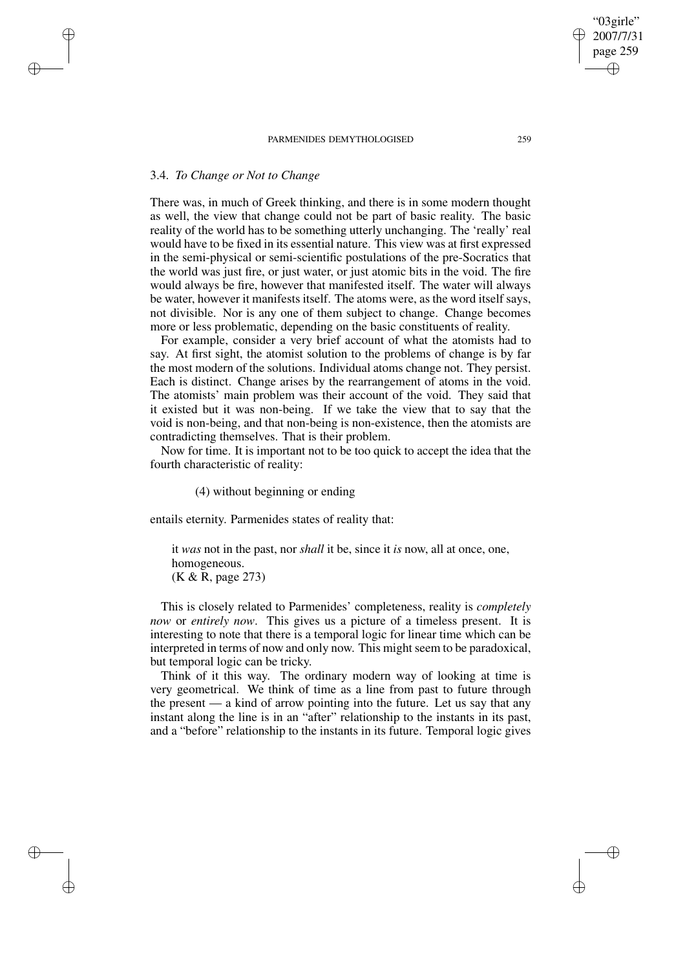## 3.4. *To Change or Not to Change*

✐

✐

✐

✐

There was, in much of Greek thinking, and there is in some modern thought as well, the view that change could not be part of basic reality. The basic reality of the world has to be something utterly unchanging. The 'really' real would have to be fixed in its essential nature. This view was at first expressed in the semi-physical or semi-scientific postulations of the pre-Socratics that the world was just fire, or just water, or just atomic bits in the void. The fire would always be fire, however that manifested itself. The water will always be water, however it manifests itself. The atoms were, as the word itself says, not divisible. Nor is any one of them subject to change. Change becomes more or less problematic, depending on the basic constituents of reality.

For example, consider a very brief account of what the atomists had to say. At first sight, the atomist solution to the problems of change is by far the most modern of the solutions. Individual atoms change not. They persist. Each is distinct. Change arises by the rearrangement of atoms in the void. The atomists' main problem was their account of the void. They said that it existed but it was non-being. If we take the view that to say that the void is non-being, and that non-being is non-existence, then the atomists are contradicting themselves. That is their problem.

Now for time. It is important not to be too quick to accept the idea that the fourth characteristic of reality:

(4) without beginning or ending

entails eternity. Parmenides states of reality that:

it *was* not in the past, nor *shall* it be, since it *is* now, all at once, one, homogeneous. (K & R, page 273)

This is closely related to Parmenides' completeness, reality is *completely now* or *entirely now*. This gives us a picture of a timeless present. It is interesting to note that there is a temporal logic for linear time which can be interpreted in terms of now and only now. This might seem to be paradoxical, but temporal logic can be tricky.

Think of it this way. The ordinary modern way of looking at time is very geometrical. We think of time as a line from past to future through the present — a kind of arrow pointing into the future. Let us say that any instant along the line is in an "after" relationship to the instants in its past, and a "before" relationship to the instants in its future. Temporal logic gives

"03girle" 2007/7/31 page 259

✐

✐

✐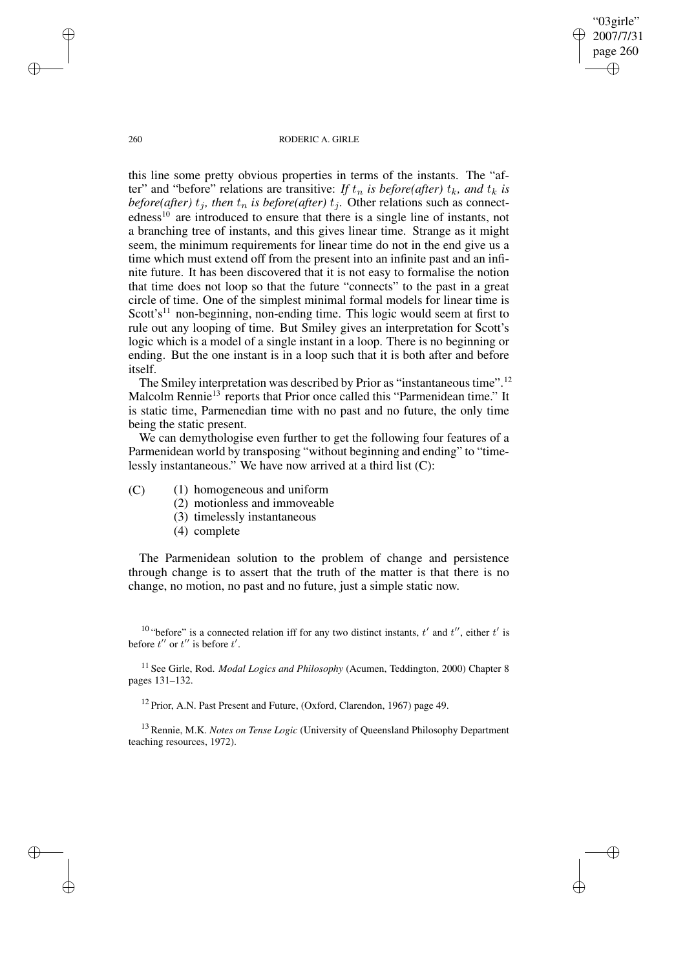260 RODERIC A. GIRLE

"03girle" 2007/7/31 page 260

✐

✐

✐

✐

this line some pretty obvious properties in terms of the instants. The "after" and "before" relations are transitive: *If*  $t_n$  *is before(after)*  $t_k$ *, and*  $t_k$  *is before(after)*  $t_j$ , *then*  $t_n$  *is before(after)*  $t_j$ . Other relations such as connectedness<sup>10</sup> are introduced to ensure that there is a single line of instants, not a branching tree of instants, and this gives linear time. Strange as it might seem, the minimum requirements for linear time do not in the end give us a time which must extend off from the present into an infinite past and an infinite future. It has been discovered that it is not easy to formalise the notion that time does not loop so that the future "connects" to the past in a great circle of time. One of the simplest minimal formal models for linear time is Scott's<sup>11</sup> non-beginning, non-ending time. This logic would seem at first to rule out any looping of time. But Smiley gives an interpretation for Scott's logic which is a model of a single instant in a loop. There is no beginning or ending. But the one instant is in a loop such that it is both after and before itself.

The Smiley interpretation was described by Prior as "instantaneous time".<sup>12</sup> Malcolm Rennie<sup>13</sup> reports that Prior once called this "Parmenidean time." It is static time, Parmenedian time with no past and no future, the only time being the static present.

We can demythologise even further to get the following four features of a Parmenidean world by transposing "without beginning and ending" to "timelessly instantaneous." We have now arrived at a third list (C):

(C) (1) homogeneous and uniform

- (2) motionless and immoveable
- (3) timelessly instantaneous
- (4) complete

The Parmenidean solution to the problem of change and persistence through change is to assert that the truth of the matter is that there is no change, no motion, no past and no future, just a simple static now.

<sup>10</sup> "before" is a connected relation iff for any two distinct instants,  $t'$  and  $t''$ , either  $t'$  is before  $t''$  or  $t''$  is before  $t'$ .

<sup>11</sup> See Girle, Rod. *Modal Logics and Philosophy* (Acumen, Teddington, 2000) Chapter 8 pages 131–132.

<sup>12</sup> Prior, A.N. Past Present and Future, (Oxford, Clarendon, 1967) page 49.

<sup>13</sup> Rennie, M.K. *Notes on Tense Logic* (University of Queensland Philosophy Department teaching resources, 1972).

✐

✐

✐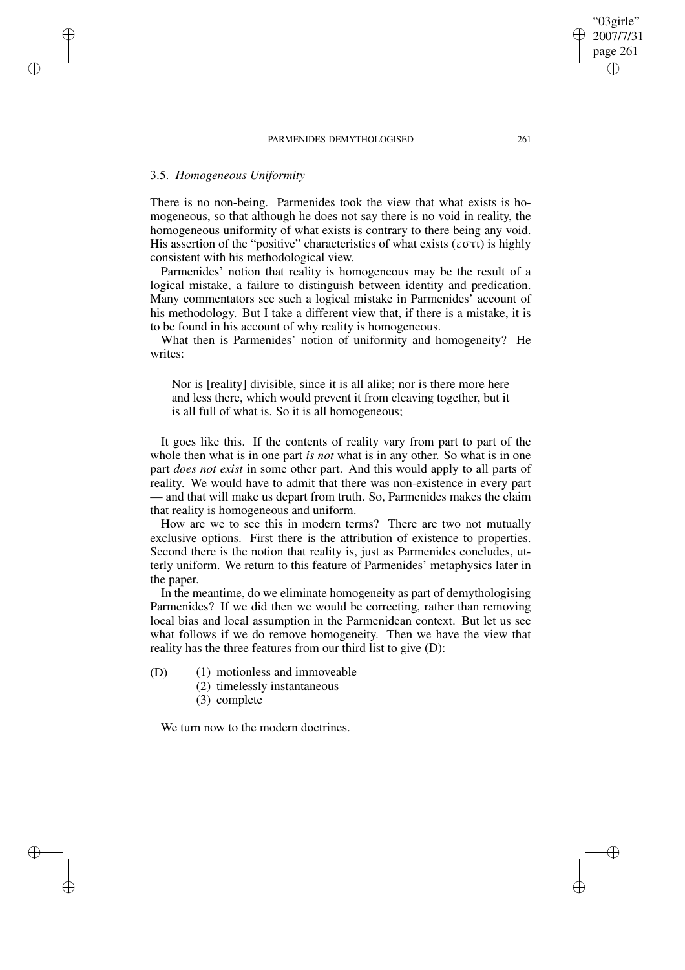# 3.5. *Homogeneous Uniformity*

✐

✐

✐

✐

There is no non-being. Parmenides took the view that what exists is homogeneous, so that although he does not say there is no void in reality, the homogeneous uniformity of what exists is contrary to there being any void. His assertion of the "positive" characteristics of what exists ( $\epsilon \sigma \tau \iota$ ) is highly consistent with his methodological view.

Parmenides' notion that reality is homogeneous may be the result of a logical mistake, a failure to distinguish between identity and predication. Many commentators see such a logical mistake in Parmenides' account of his methodology. But I take a different view that, if there is a mistake, it is to be found in his account of why reality is homogeneous.

What then is Parmenides' notion of uniformity and homogeneity? He writes:

Nor is [reality] divisible, since it is all alike; nor is there more here and less there, which would prevent it from cleaving together, but it is all full of what is. So it is all homogeneous;

It goes like this. If the contents of reality vary from part to part of the whole then what is in one part *is not* what is in any other. So what is in one part *does not exist* in some other part. And this would apply to all parts of reality. We would have to admit that there was non-existence in every part — and that will make us depart from truth. So, Parmenides makes the claim that reality is homogeneous and uniform.

How are we to see this in modern terms? There are two not mutually exclusive options. First there is the attribution of existence to properties. Second there is the notion that reality is, just as Parmenides concludes, utterly uniform. We return to this feature of Parmenides' metaphysics later in the paper.

In the meantime, do we eliminate homogeneity as part of demythologising Parmenides? If we did then we would be correcting, rather than removing local bias and local assumption in the Parmenidean context. But let us see what follows if we do remove homogeneity. Then we have the view that reality has the three features from our third list to give (D):

- (D) (1) motionless and immoveable
	- (2) timelessly instantaneous
	- (3) complete

We turn now to the modern doctrines.

"03girle" 2007/7/31 page 261

✐

✐

✐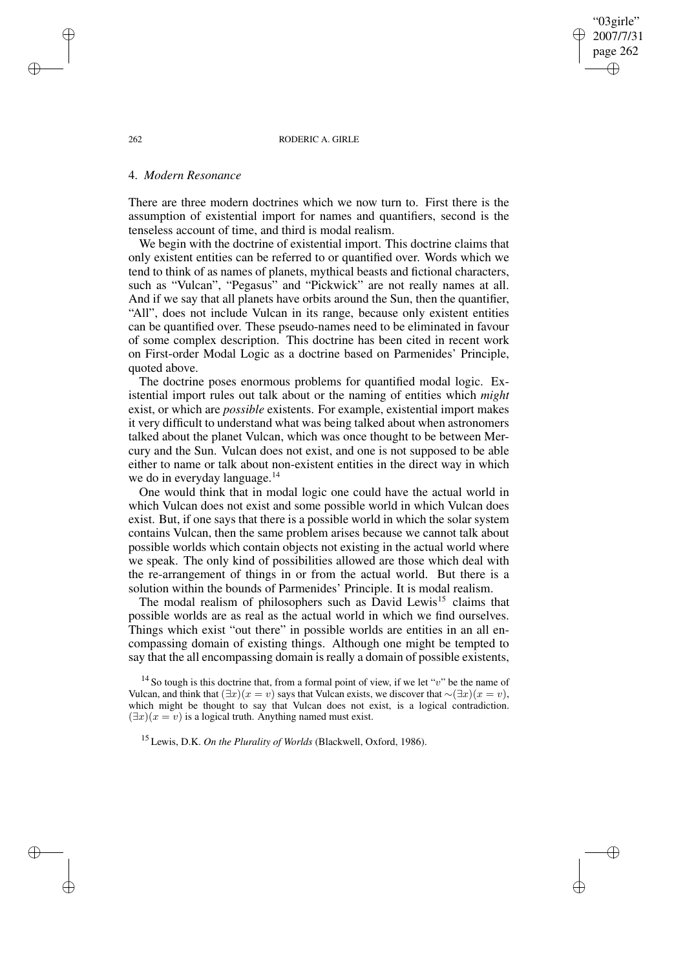262 RODERIC A. GIRLE

"03girle" 2007/7/31 page 262

✐

✐

✐

✐

### 4. *Modern Resonance*

There are three modern doctrines which we now turn to. First there is the assumption of existential import for names and quantifiers, second is the tenseless account of time, and third is modal realism.

We begin with the doctrine of existential import. This doctrine claims that only existent entities can be referred to or quantified over. Words which we tend to think of as names of planets, mythical beasts and fictional characters, such as "Vulcan", "Pegasus" and "Pickwick" are not really names at all. And if we say that all planets have orbits around the Sun, then the quantifier, "All", does not include Vulcan in its range, because only existent entities can be quantified over. These pseudo-names need to be eliminated in favour of some complex description. This doctrine has been cited in recent work on First-order Modal Logic as a doctrine based on Parmenides' Principle, quoted above.

The doctrine poses enormous problems for quantified modal logic. Existential import rules out talk about or the naming of entities which *might* exist, or which are *possible* existents. For example, existential import makes it very difficult to understand what was being talked about when astronomers talked about the planet Vulcan, which was once thought to be between Mercury and the Sun. Vulcan does not exist, and one is not supposed to be able either to name or talk about non-existent entities in the direct way in which we do in everyday language.<sup>14</sup>

One would think that in modal logic one could have the actual world in which Vulcan does not exist and some possible world in which Vulcan does exist. But, if one says that there is a possible world in which the solar system contains Vulcan, then the same problem arises because we cannot talk about possible worlds which contain objects not existing in the actual world where we speak. The only kind of possibilities allowed are those which deal with the re-arrangement of things in or from the actual world. But there is a solution within the bounds of Parmenides' Principle. It is modal realism.

The modal realism of philosophers such as David Lewis<sup>15</sup> claims that possible worlds are as real as the actual world in which we find ourselves. Things which exist "out there" in possible worlds are entities in an all encompassing domain of existing things. Although one might be tempted to say that the all encompassing domain is really a domain of possible existents,

<sup>14</sup> So tough is this doctrine that, from a formal point of view, if we let "v" be the name of Vulcan, and think that  $(\exists x)(x = v)$  says that Vulcan exists, we discover that  $\sim (\exists x)(x = v)$ , which might be thought to say that Vulcan does not exist, is a logical contradiction.  $(\exists x)(x = v)$  is a logical truth. Anything named must exist.

<sup>15</sup> Lewis, D.K. *On the Plurality of Worlds* (Blackwell, Oxford, 1986).

✐

✐

✐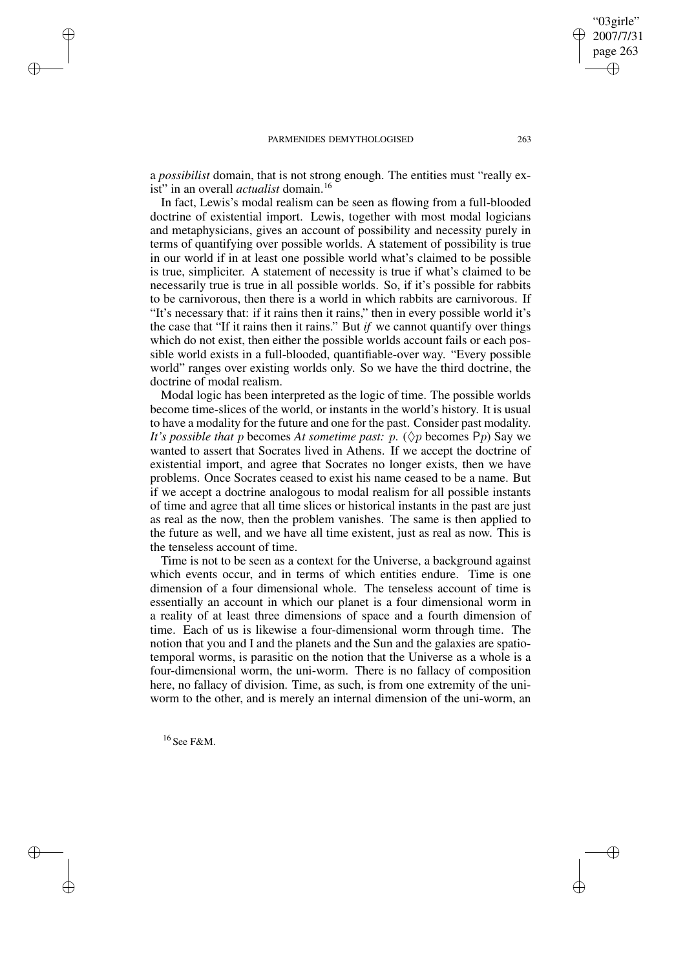a *possibilist* domain, that is not strong enough. The entities must "really exist" in an overall *actualist* domain.<sup>16</sup>

In fact, Lewis's modal realism can be seen as flowing from a full-blooded doctrine of existential import. Lewis, together with most modal logicians and metaphysicians, gives an account of possibility and necessity purely in terms of quantifying over possible worlds. A statement of possibility is true in our world if in at least one possible world what's claimed to be possible is true, simpliciter. A statement of necessity is true if what's claimed to be necessarily true is true in all possible worlds. So, if it's possible for rabbits to be carnivorous, then there is a world in which rabbits are carnivorous. If "It's necessary that: if it rains then it rains," then in every possible world it's the case that "If it rains then it rains." But *if* we cannot quantify over things which do not exist, then either the possible worlds account fails or each possible world exists in a full-blooded, quantifiable-over way. "Every possible world" ranges over existing worlds only. So we have the third doctrine, the doctrine of modal realism.

Modal logic has been interpreted as the logic of time. The possible worlds become time-slices of the world, or instants in the world's history. It is usual to have a modality for the future and one for the past. Consider past modality. *It's possible that* p becomes *At sometime past:* p.  $(\Diamond p)$  becomes Pp) Say we wanted to assert that Socrates lived in Athens. If we accept the doctrine of existential import, and agree that Socrates no longer exists, then we have problems. Once Socrates ceased to exist his name ceased to be a name. But if we accept a doctrine analogous to modal realism for all possible instants of time and agree that all time slices or historical instants in the past are just as real as the now, then the problem vanishes. The same is then applied to the future as well, and we have all time existent, just as real as now. This is the tenseless account of time.

Time is not to be seen as a context for the Universe, a background against which events occur, and in terms of which entities endure. Time is one dimension of a four dimensional whole. The tenseless account of time is essentially an account in which our planet is a four dimensional worm in a reality of at least three dimensions of space and a fourth dimension of time. Each of us is likewise a four-dimensional worm through time. The notion that you and I and the planets and the Sun and the galaxies are spatiotemporal worms, is parasitic on the notion that the Universe as a whole is a four-dimensional worm, the uni-worm. There is no fallacy of composition here, no fallacy of division. Time, as such, is from one extremity of the uniworm to the other, and is merely an internal dimension of the uni-worm, an

 $16$  See F&M.

✐

✐

✐

✐

"03girle" 2007/7/31 page 263

✐

✐

✐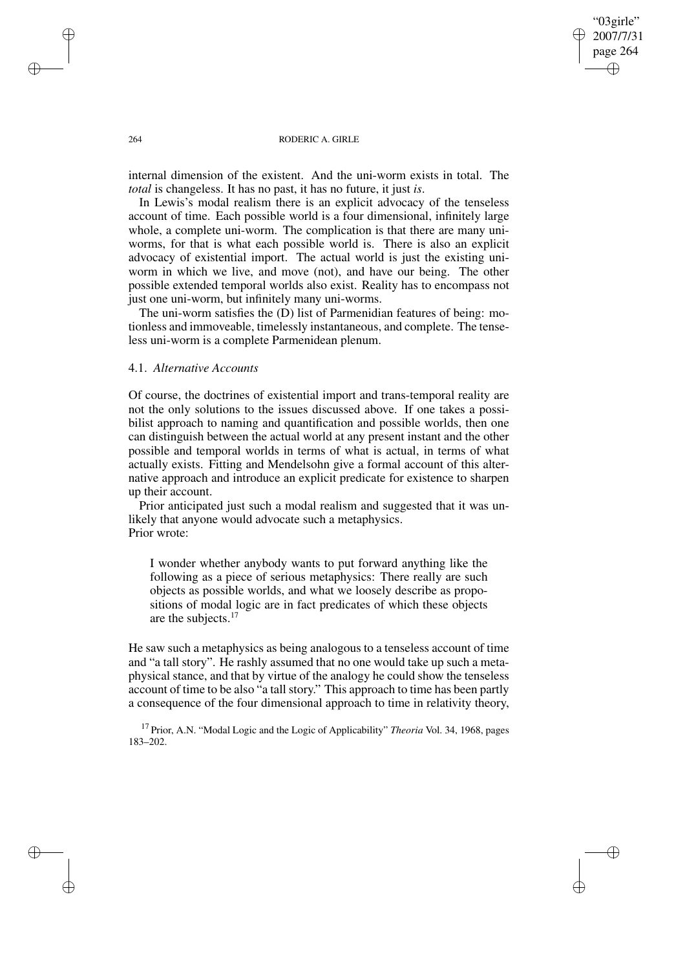"03girle" 2007/7/31 page 264 ✐ ✐

✐

✐

#### 264 RODERIC A. GIRLE

internal dimension of the existent. And the uni-worm exists in total. The *total* is changeless. It has no past, it has no future, it just *is*.

In Lewis's modal realism there is an explicit advocacy of the tenseless account of time. Each possible world is a four dimensional, infinitely large whole, a complete uni-worm. The complication is that there are many uniworms, for that is what each possible world is. There is also an explicit advocacy of existential import. The actual world is just the existing uniworm in which we live, and move (not), and have our being. The other possible extended temporal worlds also exist. Reality has to encompass not just one uni-worm, but infinitely many uni-worms.

The uni-worm satisfies the (D) list of Parmenidian features of being: motionless and immoveable, timelessly instantaneous, and complete. The tenseless uni-worm is a complete Parmenidean plenum.

### 4.1. *Alternative Accounts*

Of course, the doctrines of existential import and trans-temporal reality are not the only solutions to the issues discussed above. If one takes a possibilist approach to naming and quantification and possible worlds, then one can distinguish between the actual world at any present instant and the other possible and temporal worlds in terms of what is actual, in terms of what actually exists. Fitting and Mendelsohn give a formal account of this alternative approach and introduce an explicit predicate for existence to sharpen up their account.

Prior anticipated just such a modal realism and suggested that it was unlikely that anyone would advocate such a metaphysics. Prior wrote:

I wonder whether anybody wants to put forward anything like the following as a piece of serious metaphysics: There really are such objects as possible worlds, and what we loosely describe as propositions of modal logic are in fact predicates of which these objects are the subjects.<sup>17</sup>

He saw such a metaphysics as being analogous to a tenseless account of time and "a tall story". He rashly assumed that no one would take up such a metaphysical stance, and that by virtue of the analogy he could show the tenseless account of time to be also "a tall story." This approach to time has been partly a consequence of the four dimensional approach to time in relativity theory,

<sup>17</sup> Prior, A.N. "Modal Logic and the Logic of Applicability" *Theoria* Vol. 34, 1968, pages 183–202.

✐

✐

✐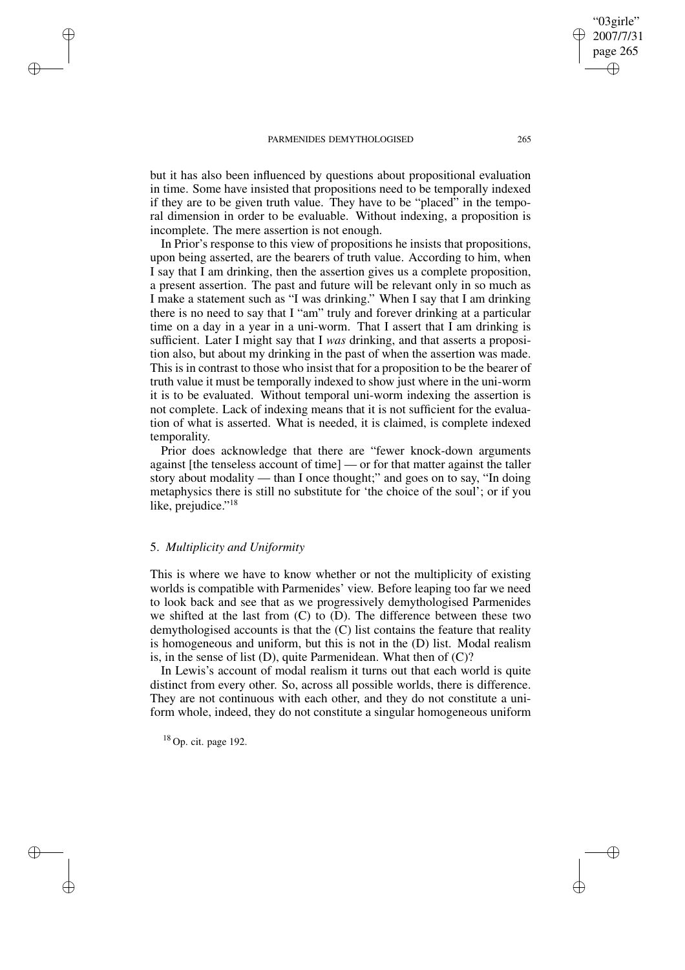but it has also been influenced by questions about propositional evaluation in time. Some have insisted that propositions need to be temporally indexed if they are to be given truth value. They have to be "placed" in the temporal dimension in order to be evaluable. Without indexing, a proposition is incomplete. The mere assertion is not enough.

In Prior's response to this view of propositions he insists that propositions, upon being asserted, are the bearers of truth value. According to him, when I say that I am drinking, then the assertion gives us a complete proposition, a present assertion. The past and future will be relevant only in so much as I make a statement such as "I was drinking." When I say that I am drinking there is no need to say that I "am" truly and forever drinking at a particular time on a day in a year in a uni-worm. That I assert that I am drinking is sufficient. Later I might say that I *was* drinking, and that asserts a proposition also, but about my drinking in the past of when the assertion was made. This is in contrast to those who insist that for a proposition to be the bearer of truth value it must be temporally indexed to show just where in the uni-worm it is to be evaluated. Without temporal uni-worm indexing the assertion is not complete. Lack of indexing means that it is not sufficient for the evaluation of what is asserted. What is needed, it is claimed, is complete indexed temporality.

Prior does acknowledge that there are "fewer knock-down arguments against [the tenseless account of time] — or for that matter against the taller story about modality — than I once thought;" and goes on to say, "In doing metaphysics there is still no substitute for 'the choice of the soul'; or if you like, prejudice."<sup>18</sup>

# 5. *Multiplicity and Uniformity*

✐

✐

✐

✐

This is where we have to know whether or not the multiplicity of existing worlds is compatible with Parmenides' view. Before leaping too far we need to look back and see that as we progressively demythologised Parmenides we shifted at the last from (C) to (D). The difference between these two demythologised accounts is that the (C) list contains the feature that reality is homogeneous and uniform, but this is not in the (D) list. Modal realism is, in the sense of list  $(D)$ , quite Parmenidean. What then of  $(C)?$ 

In Lewis's account of modal realism it turns out that each world is quite distinct from every other. So, across all possible worlds, there is difference. They are not continuous with each other, and they do not constitute a uniform whole, indeed, they do not constitute a singular homogeneous uniform

<sup>18</sup> Op. cit. page 192.

"03girle" 2007/7/31 page 265

✐

✐

✐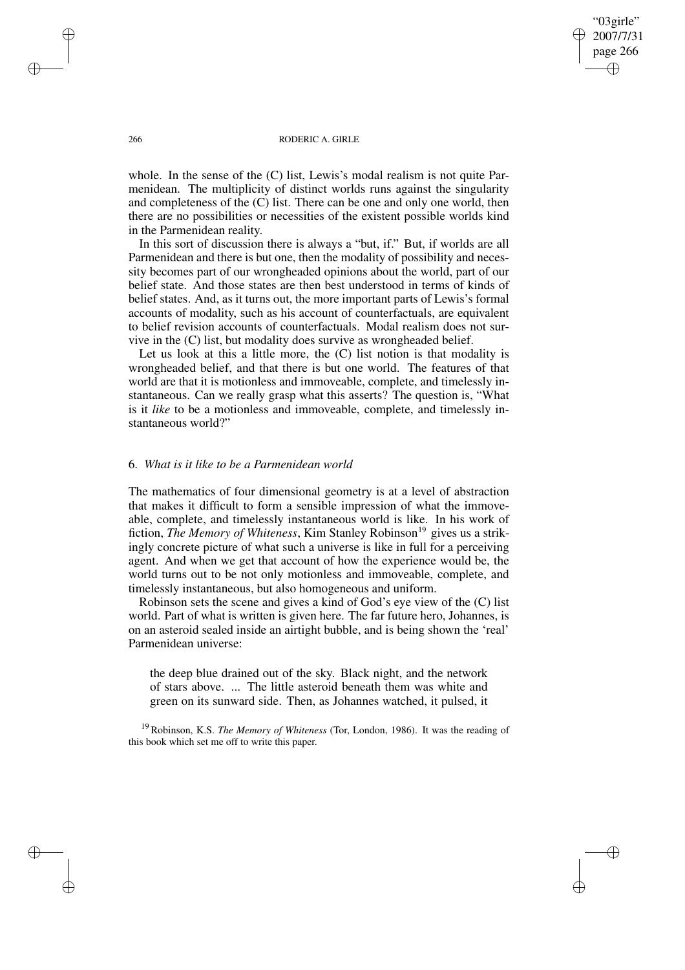"03girle" 2007/7/31 page 266 ✐ ✐

✐

✐

#### 266 RODERIC A. GIRLE

whole. In the sense of the (C) list, Lewis's modal realism is not quite Parmenidean. The multiplicity of distinct worlds runs against the singularity and completeness of the (C) list. There can be one and only one world, then there are no possibilities or necessities of the existent possible worlds kind in the Parmenidean reality.

In this sort of discussion there is always a "but, if." But, if worlds are all Parmenidean and there is but one, then the modality of possibility and necessity becomes part of our wrongheaded opinions about the world, part of our belief state. And those states are then best understood in terms of kinds of belief states. And, as it turns out, the more important parts of Lewis's formal accounts of modality, such as his account of counterfactuals, are equivalent to belief revision accounts of counterfactuals. Modal realism does not survive in the (C) list, but modality does survive as wrongheaded belief.

Let us look at this a little more, the (C) list notion is that modality is wrongheaded belief, and that there is but one world. The features of that world are that it is motionless and immoveable, complete, and timelessly instantaneous. Can we really grasp what this asserts? The question is, "What is it *like* to be a motionless and immoveable, complete, and timelessly instantaneous world?"

### 6. *What is it like to be a Parmenidean world*

The mathematics of four dimensional geometry is at a level of abstraction that makes it difficult to form a sensible impression of what the immoveable, complete, and timelessly instantaneous world is like. In his work of fiction, *The Memory of Whiteness*, Kim Stanley Robinson<sup>19</sup> gives us a strikingly concrete picture of what such a universe is like in full for a perceiving agent. And when we get that account of how the experience would be, the world turns out to be not only motionless and immoveable, complete, and timelessly instantaneous, but also homogeneous and uniform.

Robinson sets the scene and gives a kind of God's eye view of the (C) list world. Part of what is written is given here. The far future hero, Johannes, is on an asteroid sealed inside an airtight bubble, and is being shown the 'real' Parmenidean universe:

the deep blue drained out of the sky. Black night, and the network of stars above. ... The little asteroid beneath them was white and green on its sunward side. Then, as Johannes watched, it pulsed, it

<sup>19</sup> Robinson, K.S. *The Memory of Whiteness* (Tor, London, 1986). It was the reading of this book which set me off to write this paper.

✐

✐

✐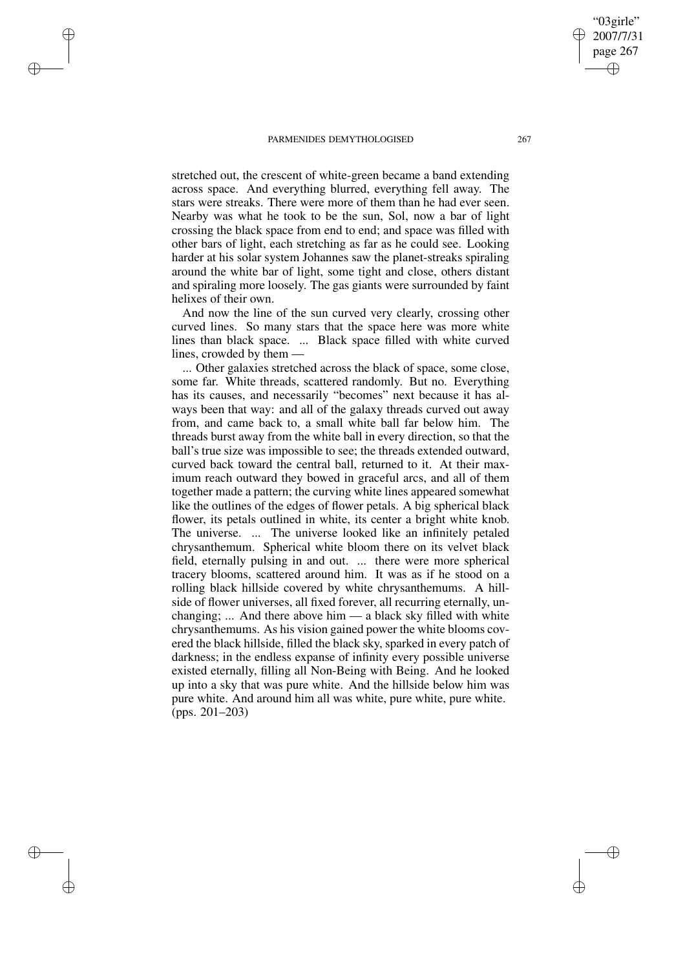✐

✐

✐

✐

stretched out, the crescent of white-green became a band extending across space. And everything blurred, everything fell away. The stars were streaks. There were more of them than he had ever seen. Nearby was what he took to be the sun, Sol, now a bar of light crossing the black space from end to end; and space was filled with other bars of light, each stretching as far as he could see. Looking harder at his solar system Johannes saw the planet-streaks spiraling around the white bar of light, some tight and close, others distant and spiraling more loosely. The gas giants were surrounded by faint helixes of their own.

And now the line of the sun curved very clearly, crossing other curved lines. So many stars that the space here was more white lines than black space. ... Black space filled with white curved lines, crowded by them —

... Other galaxies stretched across the black of space, some close, some far. White threads, scattered randomly. But no. Everything has its causes, and necessarily "becomes" next because it has always been that way: and all of the galaxy threads curved out away from, and came back to, a small white ball far below him. The threads burst away from the white ball in every direction, so that the ball's true size was impossible to see; the threads extended outward, curved back toward the central ball, returned to it. At their maximum reach outward they bowed in graceful arcs, and all of them together made a pattern; the curving white lines appeared somewhat like the outlines of the edges of flower petals. A big spherical black flower, its petals outlined in white, its center a bright white knob. The universe. ... The universe looked like an infinitely petaled chrysanthemum. Spherical white bloom there on its velvet black field, eternally pulsing in and out. ... there were more spherical tracery blooms, scattered around him. It was as if he stood on a rolling black hillside covered by white chrysanthemums. A hillside of flower universes, all fixed forever, all recurring eternally, unchanging; ... And there above him — a black sky filled with white chrysanthemums. As his vision gained power the white blooms covered the black hillside, filled the black sky, sparked in every patch of darkness; in the endless expanse of infinity every possible universe existed eternally, filling all Non-Being with Being. And he looked up into a sky that was pure white. And the hillside below him was pure white. And around him all was white, pure white, pure white. (pps. 201–203)

"03girle" 2007/7/31 page 267

✐

✐

✐